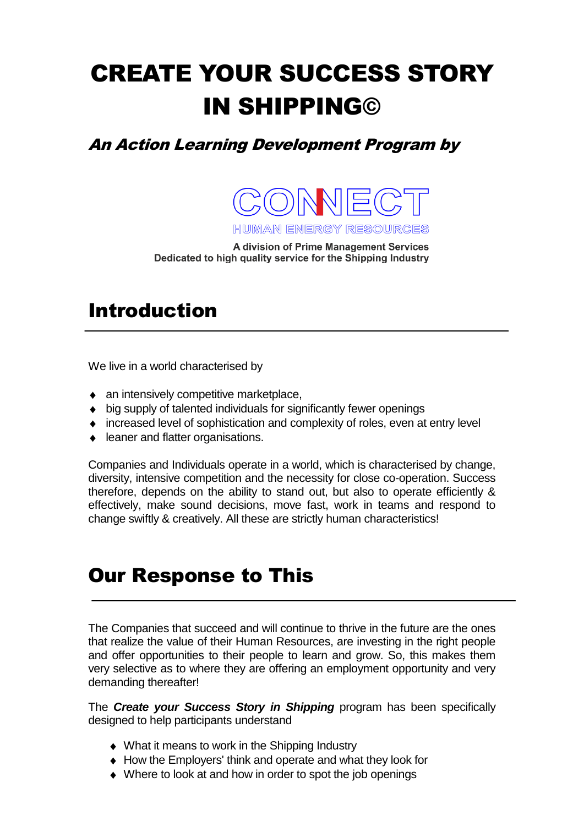# CREATE YOUR SUCCESS STORY IN SHIPPING©

An Action Learning Development Program by



HIUMAN ENERGY RESOURCES

A division of Prime Management Services Dedicated to high quality service for the Shipping Industry

## Introduction

We live in a world characterised by

- an intensively competitive marketplace,
- big supply of talented individuals for significantly fewer openings
- increased level of sophistication and complexity of roles, even at entry level
- ◆ leaner and flatter organisations.

Companies and Individuals operate in a world, which is characterised by change, diversity, intensive competition and the necessity for close co-operation. Success therefore, depends on the ability to stand out, but also to operate efficiently & effectively, make sound decisions, move fast, work in teams and respond to change swiftly & creatively. All these are strictly human characteristics!

#### Our Response to This

The Companies that succeed and will continue to thrive in the future are the ones that realize the value of their Human Resources, are investing in the right people and offer opportunities to their people to learn and grow. So, this makes them very selective as to where they are offering an employment opportunity and very demanding thereafter!

The *Create your Success Story in Shipping* program has been specifically designed to help participants understand

- ◆ What it means to work in the Shipping Industry
- How the Employers' think and operate and what they look for
- Where to look at and how in order to spot the job openings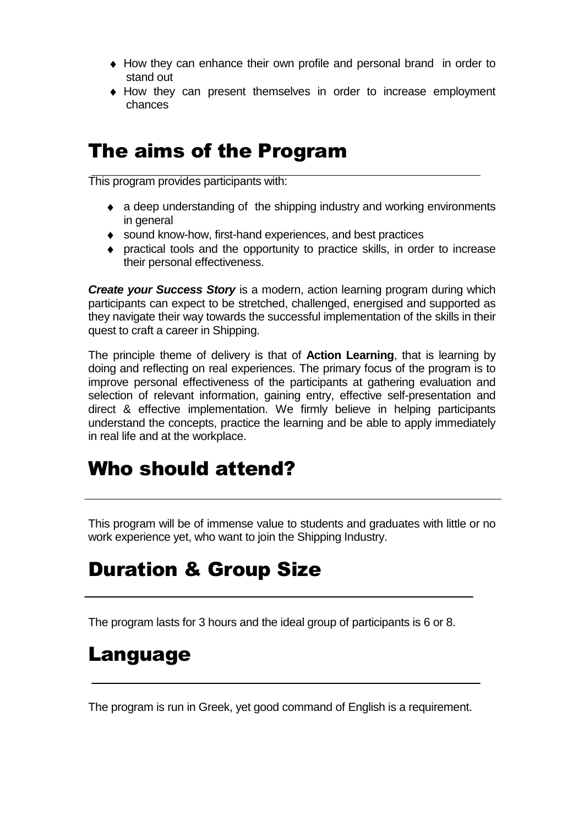- How they can enhance their own profile and personal brand in order to stand out
- How they can present themselves in order to increase employment chances

## The aims of the Program

This program provides participants with:

- a deep understanding of the shipping industry and working environments in general
- sound know-how, first-hand experiences, and best practices
- practical tools and the opportunity to practice skills, in order to increase  $\bullet$ their personal effectiveness.

*Create your Success Story* is a modern, action learning program during which participants can expect to be stretched, challenged, energised and supported as they navigate their way towards the successful implementation of the skills in their quest to craft a career in Shipping.

The principle theme of delivery is that of **Action Learning**, that is learning by doing and reflecting on real experiences. The primary focus of the program is to improve personal effectiveness of the participants at gathering evaluation and selection of relevant information, gaining entry, effective self-presentation and direct & effective implementation. We firmly believe in helping participants understand the concepts, practice the learning and be able to apply immediately in real life and at the workplace.

# Who should attend?

This program will be of immense value to students and graduates with little or no work experience yet, who want to join the Shipping Industry.

# Duration & Group Size

The program lasts for 3 hours and the ideal group of participants is 6 or 8.

#### Language

The program is run in Greek, yet good command of English is a requirement.